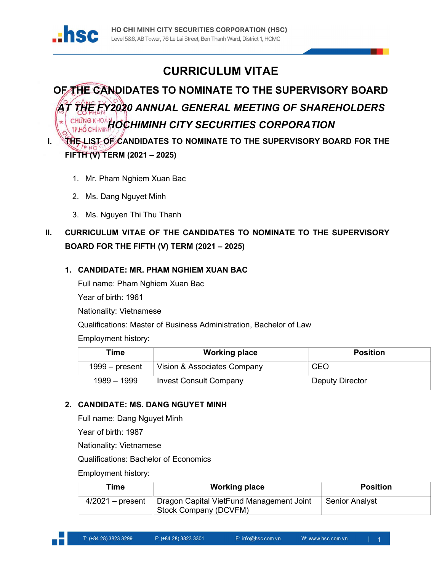

## CURRICULUM VITAE

# OF THE CANDIDATES TO NOMINATE TO THE SUPERVISORY BOARD AT THE FY2020 ANNUAL GENERAL MEETING OF SHAREHOLDERS CHỨNG KHOÁN CHIMINH CITY SECURITIES CORPORATION

## I. THE LIST OF CANDIDATES TO NOMINATE TO THE SUPERVISORY BOARD FOR THE FIFTH (V) TERM (2021 – 2025)

- 1. Mr. Pham Nghiem Xuan Bac
- 2. Ms. Dang Nguyet Minh
- 3. Ms. Nguyen Thi Thu Thanh

### II. CURRICULUM VITAE OF THE CANDIDATES TO NOMINATE TO THE SUPERVISORY BOARD FOR THE FIFTH (V) TERM (2021 – 2025)

#### 1. CANDIDATE: MR. PHAM NGHIEM XUAN BAC

Full name: Pham Nghiem Xuan Bac

Year of birth: 1961

Nationality: Vietnamese

Qualifications: Master of Business Administration, Bachelor of Law

Employment history:

| Time             | <b>Working place</b>          | <b>Position</b> |
|------------------|-------------------------------|-----------------|
| $1999 - present$ | Vision & Associates Company   | CEO             |
| 1989 - 1999      | <b>Invest Consult Company</b> | Deputy Director |

#### 2. CANDIDATE: MS. DANG NGUYET MINH

Full name: Dang Nguyet Minh

Year of birth: 1987

Nationality: Vietnamese

Qualifications: Bachelor of Economics

Employment history:

| Time               | <b>Working place</b>                                              | <b>Position</b> |
|--------------------|-------------------------------------------------------------------|-----------------|
| $4/2021$ – present | Dragon Capital VietFund Management Joint<br>Stock Company (DCVFM) | Senior Analyst  |